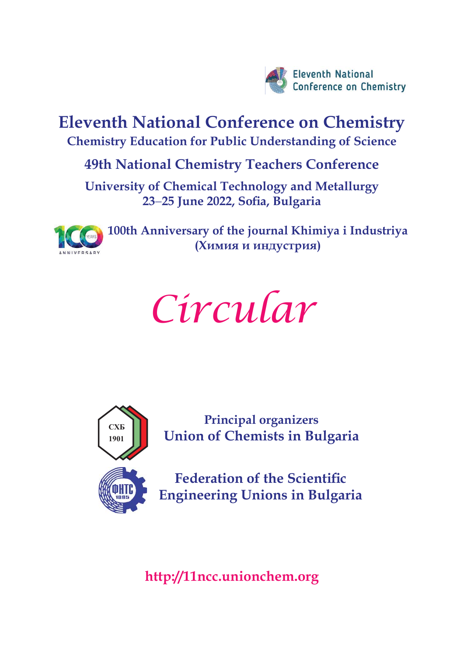

**Eleventh National Conference on Chemistry Chemistry Education for Public Understanding of Science**

# **49th National Chemistry Teachers Conference**

**University of Chemical Technology and Metallurgy** 23-25 June 2022, Sofia, Bulgaria



**100th Anniversary of the journal Khimiya i Industriya (Химия и индустрия)**





**Principal organizers Union of Chemists in Bulgaria** 

**Federation of the Scientific Engineering Unions in Bulgaria** 

**<http://11ncc.unionchem.org>**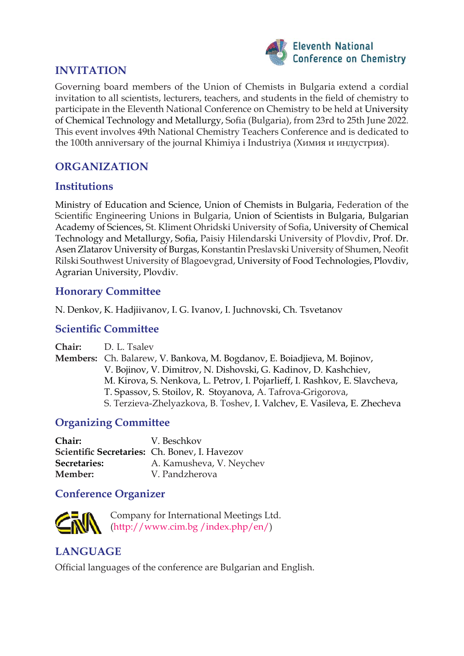

### **INVITATION**

Governing board members of the Union of Chemists in Bulgaria extend a cordial invitation to all scientists, lecturers, teachers, and students in the field of chemistry to participate in the Eleventh National Conference on Chemistry to be held at University of Chemical Technology and Metallurgy, Sofia (Bulgaria), from 23rd to 25th June 2022. This event involves 49th National Chemistry Teachers Conference and is dedicated to the 100th anniversary of the journal Khimiya i Industriya (Химия и индустрия).

## **ORGANIZATION**

#### **Institutions**

Ministry of Education and Science, Union of Chemists in Bulgaria, Federation of the Scientific Engineering Unions in Bulgaria, Union of Scientists in Bulgaria, Bulgarian Academy of Sciences, St. Kliment Ohridski University of Sofia, University of Chemical Technology and Metallurgy, Sofia, Paisiy Hilendarski University of Plovdiv, Prof. Dr. Asen Zlatarov University of Burgas, Konstantin Preslavski University of Shumen, Neofit Rilski Southwest University of Blagoevgrad, University of Food Technologies, Plovdiv, Agrarian University, Plovdiv.

#### **Honorary Committee**

N. Denkov, K. Hadjiivanov, I. G. Ivanov, I. Juchnovski, Ch. Tsvetanov

#### **Scientific Committee**

**Chair:** D. L. Tsalev **Members:** Ch. Balarew, V. Bankova, M. Bogdanov, E. Boiadjieva, M. Bojinov, V. Bojinov, V. Dimitrov, N. Dishovski, G. Kadinov, D. Kashchiev, M. Kirova, S. Nenkova, L. Petrov, I. Pojarlieff, I. Rashkov, E. Slavcheva, T. Spassov, S. Stoilov, R. Stoyanova, A. Tafrova-Grigorova, S. Terzieva-Zhelyazkova, B. Toshev, I. Valchev, E. Vasileva, E. Zhecheva

## **Organizing Committee**

| Chair:       | V. Beschkov                                   |
|--------------|-----------------------------------------------|
|              | Scientific Secretaries: Ch. Bonev, I. Havezov |
| Secretaries: | A. Kamusheva, V. Neychev                      |
| Member:      | V. Pandzherova                                |

#### **Conference Organizer**



Company for International Meetings Ltd. ([http://www.cim.bg /index.php/en/\)](http://www.cim.bg/index.php/en/) 

## **LANGUAGE**

Official languages of the conference are Bulgarian and English.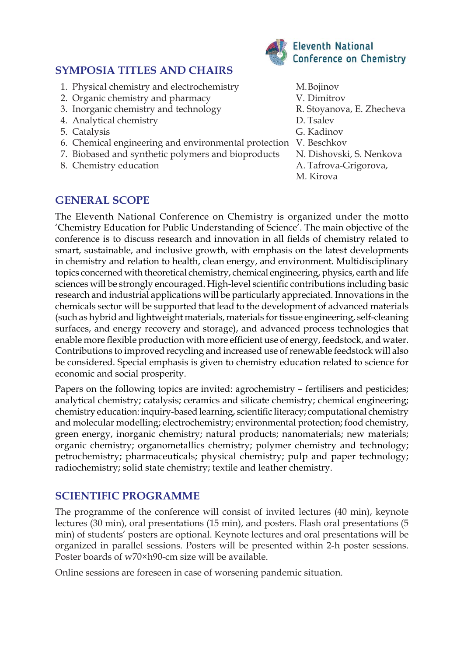## **SYMPOSIA TITLES AND CHAIRS**

- 1. Physical chemistry and electrochemistry M. Bojinov
- 2. Organic chemistry and pharmacy V. Dimitrov
- 3. Inorganic chemistry and technology R. Stoyanova, E. Zhecheva
- 4. Analytical chemistry D. Tsalev
- 5. Catalysis G. Kadinov
- 6. Chemical engineering and environmental protection V. Beschkov
- 7. Biobased and synthetic polymers and bioproducts N. Dishovski, S. Nenkova
- 8. Chemistry education A. Tafrova-Grigorova,



- 
- 
- 
- 
- 
- 
- 
- 
- M. Kirova

#### **GENERAL SCOPE**

The Eleventh National Conference on Chemistry is organized under the motto 'Chemistry Education for Public Understanding of Science'. The main objective of the conference is to discuss research and innovation in all fields of chemistry related to smart, sustainable, and inclusive growth, with emphasis on the latest developments in chemistry and relation to health, clean energy, and environment. Multidisciplinary topics concerned with theoretical chemistry, chemical engineering, physics, earth and life sciences will be strongly encouraged. High-level scientific contributions including basic research and industrial applications will be particularly appreciated. Innovations in the chemicals sector will be supported that lead to the development of advanced materials (such as hybrid and lightweight materials, materials for tissue engineering, self-cleaning surfaces, and energy recovery and storage), and advanced process technologies that enable more flexible production with more efficient use of energy, feedstock, and water. Contributions to improved recycling and increased use of renewable feedstock will also be considered. Special emphasis is given to chemistry education related to science for economic and social prosperity.

Papers on the following topics are invited: agrochemistry – fertilisers and pesticides; analytical chemistry; catalysis; ceramics and silicate chemistry; chemical engineering; chemistry education: inquiry-based learning, scientific literacy; computational chemistry and molecular modelling; electrochemistry; environmental protection; food chemistry, green energy, inorganic chemistry; natural products; nanomaterials; new materials; organic chemistry; organometallics chemistry; polymer chemistry and technology; petrochemistry; pharmaceuticals; physical chemistry; pulp and paper technology; radiochemistry; solid state chemistry; textile and leather chemistry.

#### **SCIENTIFIC PROGRAMME**

The programme of the conference will consist of invited lectures (40 min), keynote lectures (30 min), oral presentations (15 min), and posters. Flash oral presentations (5 min) of students' posters are optional. Keynote lectures and oral presentations will be organized in parallel sessions. Posters will be presented within 2-h poster sessions. Poster boards of w70×h90-cm size will be available.

Online sessions are foreseen in case of worsening pandemic situation.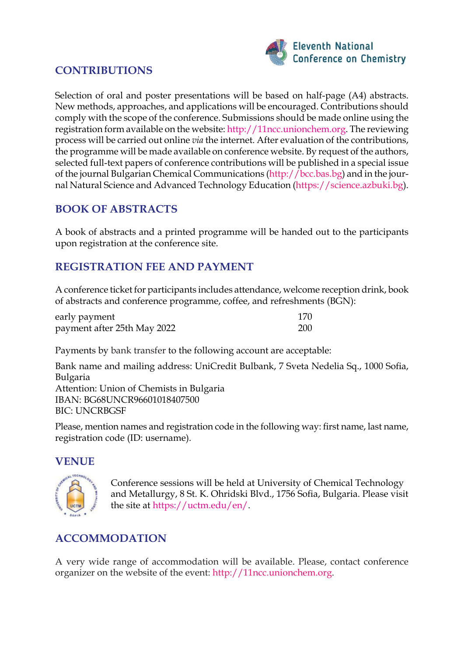

## **CONTRIBUTIONS**

Selection of oral and poster presentations will be based on half-page (A4) abstracts. New methods, approaches, and applications will be encouraged. Contributions should comply with the scope of the conference. Submissions should be made online using the registration form available on the website: [http://11ncc.unionchem.org. Th](http://11ncc.unionchem.org)e reviewing process will be carried out online *via* the internet. After evaluation of the contributions, the programme will be made available on conference website. By request of the authors, selected full-text papers of conference contributions will be published in a special issue of the journal Bulgarian Chemical Communications ([http://bcc.bas.bg\) an](http://bcc.bas.bg)d in the journal Natural Science and Advanced Technology Education ([https://science.azbuki.bg\).](https://science.azbuki.bg)

## **BOOK OF ABSTRACTS**

A book of abstracts and a printed programme will be handed out to the participants upon registration at the conference site.

## **REGISTRATION FEE AND PAYMENT**

A conference ticket for participants includes attendance, welcome reception drink, book of abstracts and conference programme, coffee, and refreshments (BGN):

| early payment               | 170        |
|-----------------------------|------------|
| payment after 25th May 2022 | <b>200</b> |

Payments by bank transfer to the following account are acceptable:

Bank name and mailing address: UniCredit Bulbank, 7 Sveta Nedelia Sq., 1000 Sofia, Bulgaria Attention: Union of Chemists in Bulgaria IBAN: BG68UNCR96601018407500 BIC: UNCRBGSF

Please, mention names and registration code in the following way: first name, last name, registration code (ID: username).

#### **VENUE**



Conference sessions will be held at University of Chemical Technology and Metallurgy, 8 St. K. Ohridski Blvd., 1756 Sofia, Bulgaria. Please visit the site at [https://uctm.edu/en/.](https://uctm.edu/en/)

## **ACCOMMODATION**

A very wide range of accommodation will be available. Please, contact conference organizer on the website of the event: [http://11ncc.unionchem.org.](http://11ncc.unionchem.org)